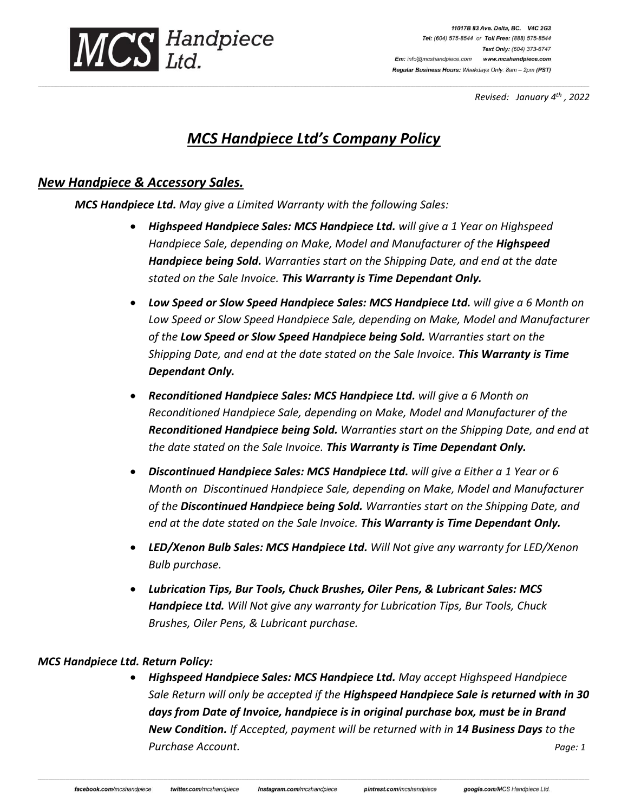

11017B 83 Ave. Delta, BC. V4C 2G3 Tel: (604) 575-8544 or Toll Free: (888) 575-8544 Text Only: (604) 373-6747 Em: info@mcshandpiece.com www.mcshandpiece.com Regular Business Hours: Weekdays Only: 8am - 2pm (PST)

*Revised: January 4th , 2022*

# *MCS Handpiece Ltd's Company Policy*

**\_\_\_\_\_\_\_\_\_\_\_\_\_\_\_\_\_\_\_\_\_\_\_\_\_\_\_\_\_\_\_\_\_\_\_\_\_\_\_\_\_\_\_\_\_\_\_\_\_\_\_\_\_\_\_\_\_\_\_\_\_\_\_\_\_\_\_\_\_\_\_\_\_\_\_\_\_\_\_\_\_\_\_\_\_\_\_\_\_\_\_\_\_\_\_\_\_\_\_\_\_\_\_\_\_\_\_\_\_\_\_\_\_\_\_\_\_\_\_\_\_\_\_\_\_\_\_\_\_\_\_\_\_\_\_\_\_\_\_\_\_\_\_\_\_\_\_\_\_\_\_\_\_\_\_\_\_\_\_\_\_\_\_\_\_\_\_\_\_\_\_\_\_\_\_\_\_\_\_\_\_\_\_\_\_\_\_\_\_\_\_\_\_\_\_\_\_\_\_\_\_\_\_\_\_\_\_\_\_\_\_\_\_\_\_\_\_\_\_\_\_\_\_\_\_\_\_\_\_\_\_\_\_\_\_\_\_\_\_\_\_\_\_\_\_\_\_\_\_\_\_\_\_\_\_\_\_\_\_\_\_\_\_\_\_\_\_\_\_\_\_\_\_\_\_\_\_\_\_\_\_\_\_\_\_\_\_\_\_\_\_\_\_\_\_\_\_\_\_\_\_\_\_\_\_\_\_\_\_\_\_\_\_\_\_\_\_\_\_\_\_\_\_\_\_\_\_\_\_\_\_\_\_\_\_\_\_\_\_\_\_\_\_\_\_\_\_\_\_\_\_\_\_\_\_\_\_\_**

## *New Handpiece & Accessory Sales.*

*MCS Handpiece Ltd. May give a Limited Warranty with the following Sales:* 

- *Highspeed Handpiece Sales: MCS Handpiece Ltd. will give a 1 Year on Highspeed Handpiece Sale, depending on Make, Model and Manufacturer of the Highspeed Handpiece being Sold. Warranties start on the Shipping Date, and end at the date stated on the Sale Invoice. This Warranty is Time Dependant Only.*
- *Low Speed or Slow Speed Handpiece Sales: MCS Handpiece Ltd. will give a 6 Month on Low Speed or Slow Speed Handpiece Sale, depending on Make, Model and Manufacturer of the Low Speed or Slow Speed Handpiece being Sold. Warranties start on the Shipping Date, and end at the date stated on the Sale Invoice. This Warranty is Time Dependant Only.*
- *Reconditioned Handpiece Sales: MCS Handpiece Ltd. will give a 6 Month on Reconditioned Handpiece Sale, depending on Make, Model and Manufacturer of the Reconditioned Handpiece being Sold. Warranties start on the Shipping Date, and end at the date stated on the Sale Invoice. This Warranty is Time Dependant Only.*
- *Discontinued Handpiece Sales: MCS Handpiece Ltd. will give a Either a 1 Year or 6 Month on Discontinued Handpiece Sale, depending on Make, Model and Manufacturer of the Discontinued Handpiece being Sold. Warranties start on the Shipping Date, and end at the date stated on the Sale Invoice. This Warranty is Time Dependant Only.*
- *LED/Xenon Bulb Sales: MCS Handpiece Ltd. Will Not give any warranty for LED/Xenon Bulb purchase.*
- *Lubrication Tips, Bur Tools, Chuck Brushes, Oiler Pens, & Lubricant Sales: MCS Handpiece Ltd. Will Not give any warranty for Lubrication Tips, Bur Tools, Chuck Brushes, Oiler Pens, & Lubricant purchase.*

#### *MCS Handpiece Ltd. Return Policy:*

• *Highspeed Handpiece Sales: MCS Handpiece Ltd. May accept Highspeed Handpiece Sale Return will only be accepted if the Highspeed Handpiece Sale is returned with in 30 days from Date of Invoice, handpiece is in original purchase box, must be in Brand New Condition. If Accepted, payment will be returned with in 14 Business Days to the Purchase Account. Page: 1*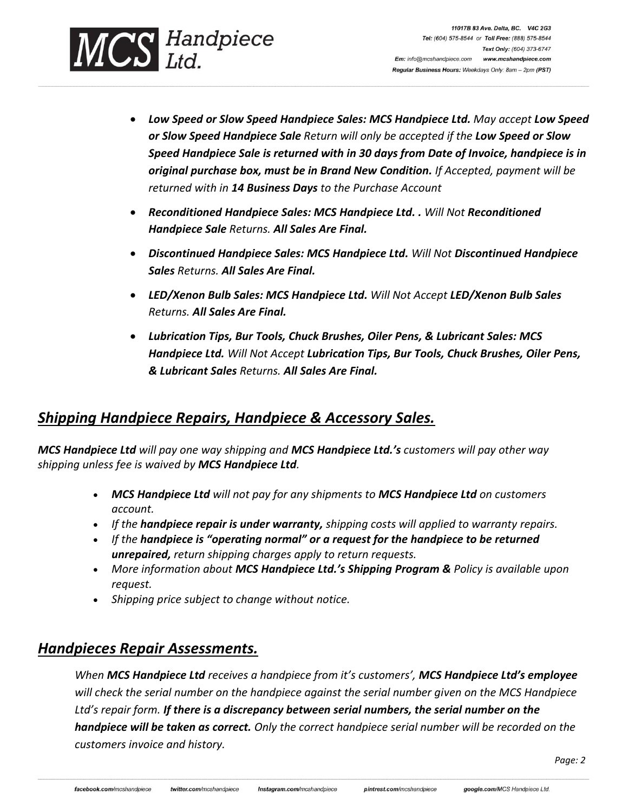

- *Low Speed or Slow Speed Handpiece Sales: MCS Handpiece Ltd. May accept Low Speed or Slow Speed Handpiece Sale Return will only be accepted if the Low Speed or Slow Speed Handpiece Sale is returned with in 30 days from Date of Invoice, handpiece is in original purchase box, must be in Brand New Condition. If Accepted, payment will be returned with in 14 Business Days to the Purchase Account*
- *Reconditioned Handpiece Sales: MCS Handpiece Ltd. . Will Not Reconditioned Handpiece Sale Returns. All Sales Are Final.*

**\_\_\_\_\_\_\_\_\_\_\_\_\_\_\_\_\_\_\_\_\_\_\_\_\_\_\_\_\_\_\_\_\_\_\_\_\_\_\_\_\_\_\_\_\_\_\_\_\_\_\_\_\_\_\_\_\_\_\_\_\_\_\_\_\_\_\_\_\_\_\_\_\_\_\_\_\_\_\_\_\_\_\_\_\_\_\_\_\_\_\_\_\_\_\_\_\_\_\_\_\_\_\_\_\_\_\_\_\_\_\_\_\_\_\_\_\_\_\_\_\_\_\_\_\_\_\_\_\_\_\_\_\_\_\_\_\_\_\_\_\_\_\_\_\_\_\_\_\_\_\_\_\_\_\_\_\_\_\_\_\_\_\_\_\_\_\_\_\_\_\_\_\_\_\_\_\_\_\_\_\_\_\_\_\_\_\_\_\_\_\_\_\_\_\_\_\_\_\_\_\_\_\_\_\_\_\_\_\_\_\_\_\_\_\_\_\_\_\_\_\_\_\_\_\_\_\_\_\_\_\_\_\_\_\_\_\_\_\_\_\_\_\_\_\_\_\_\_\_\_\_\_\_\_\_\_\_\_\_\_\_\_\_\_\_\_\_\_\_\_\_\_\_\_\_\_\_\_\_\_\_\_\_\_\_\_\_\_\_\_\_\_\_\_\_\_\_\_\_\_\_\_\_\_\_\_\_\_\_\_\_\_\_\_\_\_\_\_\_\_\_\_\_\_\_\_\_\_\_\_\_\_\_\_\_\_\_\_\_\_\_\_\_\_\_\_\_\_\_\_\_\_\_\_\_\_\_\_**

- *Discontinued Handpiece Sales: MCS Handpiece Ltd. Will Not Discontinued Handpiece Sales Returns. All Sales Are Final.*
- *LED/Xenon Bulb Sales: MCS Handpiece Ltd. Will Not Accept LED/Xenon Bulb Sales Returns. All Sales Are Final.*
- *Lubrication Tips, Bur Tools, Chuck Brushes, Oiler Pens, & Lubricant Sales: MCS Handpiece Ltd. Will Not Accept Lubrication Tips, Bur Tools, Chuck Brushes, Oiler Pens, & Lubricant Sales Returns. All Sales Are Final.*

## *Shipping Handpiece Repairs, Handpiece & Accessory Sales.*

*MCS Handpiece Ltd will pay one way shipping and MCS Handpiece Ltd.'s customers will pay other way shipping unless fee is waived by MCS Handpiece Ltd.*

- *MCS Handpiece Ltd will not pay for any shipments to MCS Handpiece Ltd on customers account.*
- *If the handpiece repair is under warranty, shipping costs will applied to warranty repairs.*
- *If the handpiece is "operating normal" or a request for the handpiece to be returned unrepaired, return shipping charges apply to return requests.*
- *More information about MCS Handpiece Ltd.'s Shipping Program & Policy is available upon request.*
- *Shipping price subject to change without notice.*

## *Handpieces Repair Assessments.*

*When MCS Handpiece Ltd receives a handpiece from it's customers', MCS Handpiece Ltd's employee will check the serial number on the handpiece against the serial number given on the MCS Handpiece Ltd's repair form. If there is a discrepancy between serial numbers, the serial number on the handpiece will be taken as correct. Only the correct handpiece serial number will be recorded on the customers invoice and history.*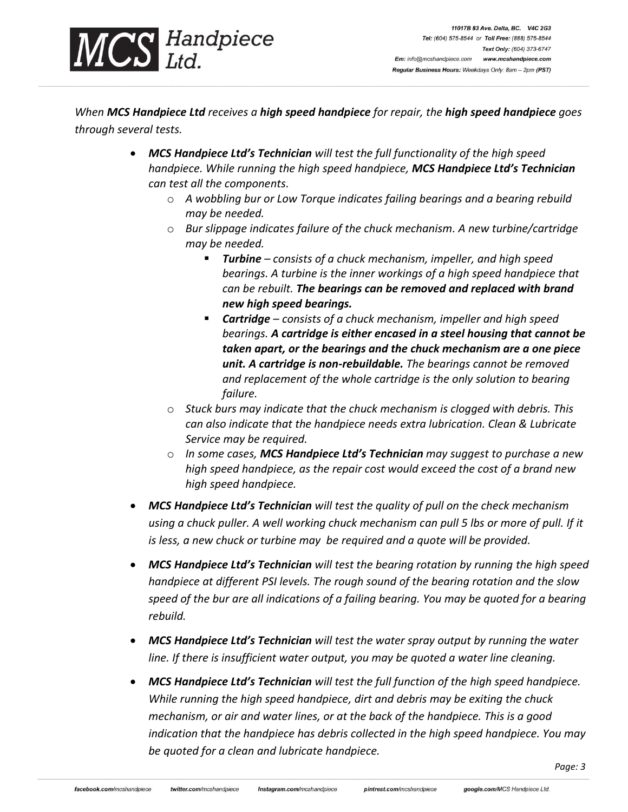

*When MCS Handpiece Ltd receives a high speed handpiece for repair, the high speed handpiece goes through several tests.*

**\_\_\_\_\_\_\_\_\_\_\_\_\_\_\_\_\_\_\_\_\_\_\_\_\_\_\_\_\_\_\_\_\_\_\_\_\_\_\_\_\_\_\_\_\_\_\_\_\_\_\_\_\_\_\_\_\_\_\_\_\_\_\_\_\_\_\_\_\_\_\_\_\_\_\_\_\_\_\_\_\_\_\_\_\_\_\_\_\_\_\_\_\_\_\_\_\_\_\_\_\_\_\_\_\_\_\_\_\_\_\_\_\_\_\_\_\_\_\_\_\_\_\_\_\_\_\_\_\_\_\_\_\_\_\_\_\_\_\_\_\_\_\_\_\_\_\_\_\_\_\_\_\_\_\_\_\_\_\_\_\_\_\_\_\_\_\_\_\_\_\_\_\_\_\_\_\_\_\_\_\_\_\_\_\_\_\_\_\_\_\_\_\_\_\_\_\_\_\_\_\_\_\_\_\_\_\_\_\_\_\_\_\_\_\_\_\_\_\_\_\_\_\_\_\_\_\_\_\_\_\_\_\_\_\_\_\_\_\_\_\_\_\_\_\_\_\_\_\_\_\_\_\_\_\_\_\_\_\_\_\_\_\_\_\_\_\_\_\_\_\_\_\_\_\_\_\_\_\_\_\_\_\_\_\_\_\_\_\_\_\_\_\_\_\_\_\_\_\_\_\_\_\_\_\_\_\_\_\_\_\_\_\_\_\_\_\_\_\_\_\_\_\_\_\_\_\_\_\_\_\_\_\_\_\_\_\_\_\_\_\_\_\_\_\_\_\_\_\_\_\_\_\_\_\_\_\_\_**

- *MCS Handpiece Ltd's Technician will test the full functionality of the high speed handpiece. While running the high speed handpiece, MCS Handpiece Ltd's Technician can test all the components.* 
	- o *A wobbling bur or Low Torque indicates failing bearings and a bearing rebuild may be needed.*
	- o *Bur slippage indicates failure of the chuck mechanism. A new turbine/cartridge may be needed.*
		- *Turbine – consists of a chuck mechanism, impeller, and high speed bearings. A turbine is the inner workings of a high speed handpiece that can be rebuilt. The bearings can be removed and replaced with brand new high speed bearings.*
		- *Cartridge consists of a chuck mechanism, impeller and high speed bearings. A cartridge is either encased in a steel housing that cannot be taken apart, or the bearings and the chuck mechanism are a one piece unit. A cartridge is non-rebuildable. The bearings cannot be removed and replacement of the whole cartridge is the only solution to bearing failure.*
	- o *Stuck burs may indicate that the chuck mechanism is clogged with debris. This can also indicate that the handpiece needs extra lubrication. Clean & Lubricate Service may be required.*
	- o *In some cases, MCS Handpiece Ltd's Technician may suggest to purchase a new high speed handpiece, as the repair cost would exceed the cost of a brand new high speed handpiece.*
- *MCS Handpiece Ltd's Technician will test the quality of pull on the check mechanism using a chuck puller. A well working chuck mechanism can pull 5 lbs or more of pull. If it is less, a new chuck or turbine may be required and a quote will be provided.*
- *MCS Handpiece Ltd's Technician will test the bearing rotation by running the high speed handpiece at different PSI levels. The rough sound of the bearing rotation and the slow speed of the bur are all indications of a failing bearing. You may be quoted for a bearing rebuild.*
- *MCS Handpiece Ltd's Technician will test the water spray output by running the water line. If there is insufficient water output, you may be quoted a water line cleaning.*
- *MCS Handpiece Ltd's Technician will test the full function of the high speed handpiece. While running the high speed handpiece, dirt and debris may be exiting the chuck mechanism, or air and water lines, or at the back of the handpiece. This is a good indication that the handpiece has debris collected in the high speed handpiece. You may be quoted for a clean and lubricate handpiece.*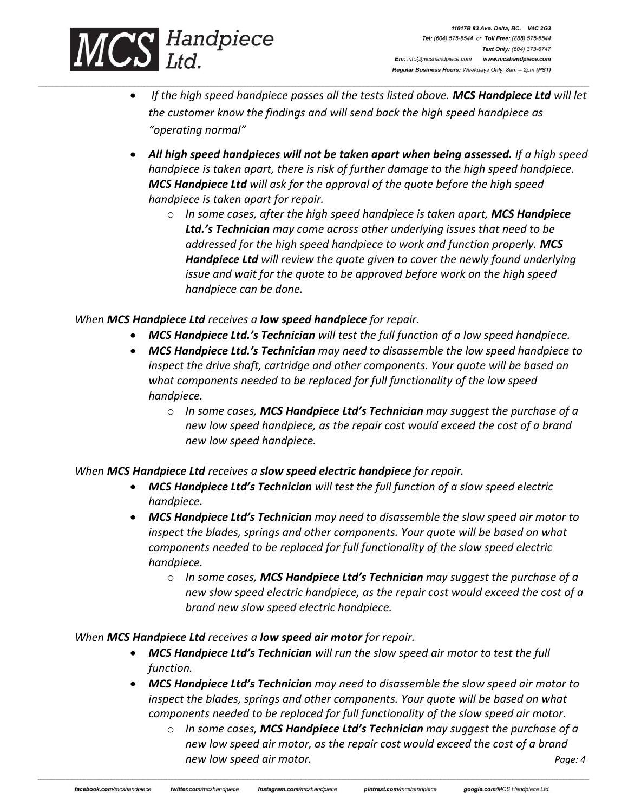

• *If the high speed handpiece passes all the tests listed above. MCS Handpiece Ltd will let the customer know the findings and will send back the high speed handpiece as "operating normal"*

**\_\_\_\_\_\_\_\_\_\_\_\_\_\_\_\_\_\_\_\_\_\_\_\_\_\_\_\_\_\_\_\_\_\_\_\_\_\_\_\_\_\_\_\_\_\_\_\_\_\_\_\_\_\_\_\_\_\_\_\_\_\_\_\_\_\_\_\_\_\_\_\_\_\_\_\_\_\_\_\_\_\_\_\_\_\_\_\_\_\_\_\_\_\_\_\_\_\_\_\_\_\_\_\_\_\_\_\_\_\_\_\_\_\_\_\_\_\_\_\_\_\_\_\_\_\_\_\_\_\_\_\_\_\_\_\_\_\_\_\_\_\_\_\_\_\_\_\_\_\_\_\_\_\_\_\_\_\_\_\_\_\_\_\_\_\_\_\_\_\_\_\_\_\_\_\_\_\_\_\_\_\_\_\_\_\_\_\_\_\_\_\_\_\_\_\_\_\_\_\_\_\_\_\_\_\_\_\_\_\_\_\_\_\_\_\_\_\_\_\_\_\_\_\_\_\_\_\_\_\_\_\_\_\_\_\_\_\_\_\_\_\_\_\_\_\_\_\_\_\_\_\_\_\_\_\_\_\_\_\_\_\_\_\_\_\_\_\_\_\_\_\_\_\_\_\_\_\_\_\_\_\_\_\_\_\_\_\_\_\_\_\_\_\_\_\_\_\_\_\_\_\_\_\_\_\_\_\_\_\_\_\_\_\_\_\_\_\_\_\_\_\_\_\_\_\_\_\_\_\_\_\_\_\_\_\_\_\_\_\_\_\_\_\_\_\_\_\_\_\_\_\_\_\_\_\_\_\_**

- *All high speed handpieces will not be taken apart when being assessed. If a high speed handpiece is taken apart, there is risk of further damage to the high speed handpiece. MCS Handpiece Ltd will ask for the approval of the quote before the high speed handpiece is taken apart for repair.* 
	- o *In some cases, after the high speed handpiece is taken apart, MCS Handpiece Ltd.'s Technician may come across other underlying issues that need to be addressed for the high speed handpiece to work and function properly. MCS Handpiece Ltd will review the quote given to cover the newly found underlying issue and wait for the quote to be approved before work on the high speed handpiece can be done.*

#### *When MCS Handpiece Ltd receives a low speed handpiece for repair.*

- *MCS Handpiece Ltd.'s Technician will test the full function of a low speed handpiece.*
- *MCS Handpiece Ltd.'s Technician may need to disassemble the low speed handpiece to inspect the drive shaft, cartridge and other components. Your quote will be based on what components needed to be replaced for full functionality of the low speed handpiece.*
	- o *In some cases, MCS Handpiece Ltd's Technician may suggest the purchase of a new low speed handpiece, as the repair cost would exceed the cost of a brand new low speed handpiece.*

#### *When MCS Handpiece Ltd receives a slow speed electric handpiece for repair.*

- *MCS Handpiece Ltd's Technician will test the full function of a slow speed electric handpiece.*
- *MCS Handpiece Ltd's Technician may need to disassemble the slow speed air motor to inspect the blades, springs and other components. Your quote will be based on what components needed to be replaced for full functionality of the slow speed electric handpiece.*
	- o *In some cases, MCS Handpiece Ltd's Technician may suggest the purchase of a new slow speed electric handpiece, as the repair cost would exceed the cost of a brand new slow speed electric handpiece.*

#### *When MCS Handpiece Ltd receives a low speed air motor for repair.*

- *MCS Handpiece Ltd's Technician will run the slow speed air motor to test the full function.*
- *MCS Handpiece Ltd's Technician may need to disassemble the slow speed air motor to inspect the blades, springs and other components. Your quote will be based on what components needed to be replaced for full functionality of the slow speed air motor.*
	- o *In some cases, MCS Handpiece Ltd's Technician may suggest the purchase of a new low speed air motor, as the repair cost would exceed the cost of a brand new low speed air motor. Page: 4*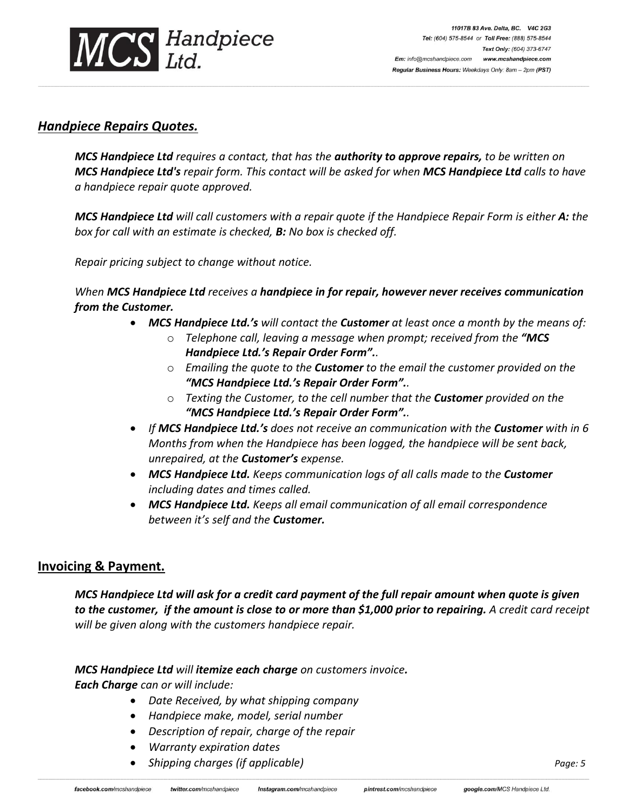

## *Handpiece Repairs Quotes.*

*MCS Handpiece Ltd requires a contact, that has the authority to approve repairs, to be written on MCS Handpiece Ltd's repair form. This contact will be asked for when MCS Handpiece Ltd calls to have a handpiece repair quote approved.*

**\_\_\_\_\_\_\_\_\_\_\_\_\_\_\_\_\_\_\_\_\_\_\_\_\_\_\_\_\_\_\_\_\_\_\_\_\_\_\_\_\_\_\_\_\_\_\_\_\_\_\_\_\_\_\_\_\_\_\_\_\_\_\_\_\_\_\_\_\_\_\_\_\_\_\_\_\_\_\_\_\_\_\_\_\_\_\_\_\_\_\_\_\_\_\_\_\_\_\_\_\_\_\_\_\_\_\_\_\_\_\_\_\_\_\_\_\_\_\_\_\_\_\_\_\_\_\_\_\_\_\_\_\_\_\_\_\_\_\_\_\_\_\_\_\_\_\_\_\_\_\_\_\_\_\_\_\_\_\_\_\_\_\_\_\_\_\_\_\_\_\_\_\_\_\_\_\_\_\_\_\_\_\_\_\_\_\_\_\_\_\_\_\_\_\_\_\_\_\_\_\_\_\_\_\_\_\_\_\_\_\_\_\_\_\_\_\_\_\_\_\_\_\_\_\_\_\_\_\_\_\_\_\_\_\_\_\_\_\_\_\_\_\_\_\_\_\_\_\_\_\_\_\_\_\_\_\_\_\_\_\_\_\_\_\_\_\_\_\_\_\_\_\_\_\_\_\_\_\_\_\_\_\_\_\_\_\_\_\_\_\_\_\_\_\_\_\_\_\_\_\_\_\_\_\_\_\_\_\_\_\_\_\_\_\_\_\_\_\_\_\_\_\_\_\_\_\_\_\_\_\_\_\_\_\_\_\_\_\_\_\_\_\_\_\_\_\_\_\_\_\_\_\_\_\_\_\_\_**

*MCS Handpiece Ltd will call customers with a repair quote if the Handpiece Repair Form is either A: the box for call with an estimate is checked, B: No box is checked off.*

*Repair pricing subject to change without notice.*

*When MCS Handpiece Ltd receives a handpiece in for repair, however never receives communication from the Customer.* 

- *MCS Handpiece Ltd.'s will contact the Customer at least once a month by the means of:*
	- o *Telephone call, leaving a message when prompt; received from the "MCS Handpiece Ltd.'s Repair Order Form"..*
	- o *Emailing the quote to the Customer to the email the customer provided on the "MCS Handpiece Ltd.'s Repair Order Form"..*
	- o *Texting the Customer, to the cell number that the Customer provided on the "MCS Handpiece Ltd.'s Repair Order Form"..*
- *If MCS Handpiece Ltd.'s does not receive an communication with the Customer with in 6 Months from when the Handpiece has been logged, the handpiece will be sent back, unrepaired, at the Customer's expense.*
- *MCS Handpiece Ltd. Keeps communication logs of all calls made to the Customer including dates and times called.*
- *MCS Handpiece Ltd. Keeps all email communication of all email correspondence between it's self and the Customer.*

### **Invoicing & Payment.**

*MCS Handpiece Ltd will ask for a credit card payment of the full repair amount when quote is given to the customer, if the amount is close to or more than \$1,000 prior to repairing. A credit card receipt will be given along with the customers handpiece repair.* 

*MCS Handpiece Ltd will itemize each charge on customers invoice.*

*Each Charge can or will include:*

- *Date Received, by what shipping company*
- *Handpiece make, model, serial number*
- *Description of repair, charge of the repair*
- *Warranty expiration dates*
- *Shipping charges (if applicable) Page: 5*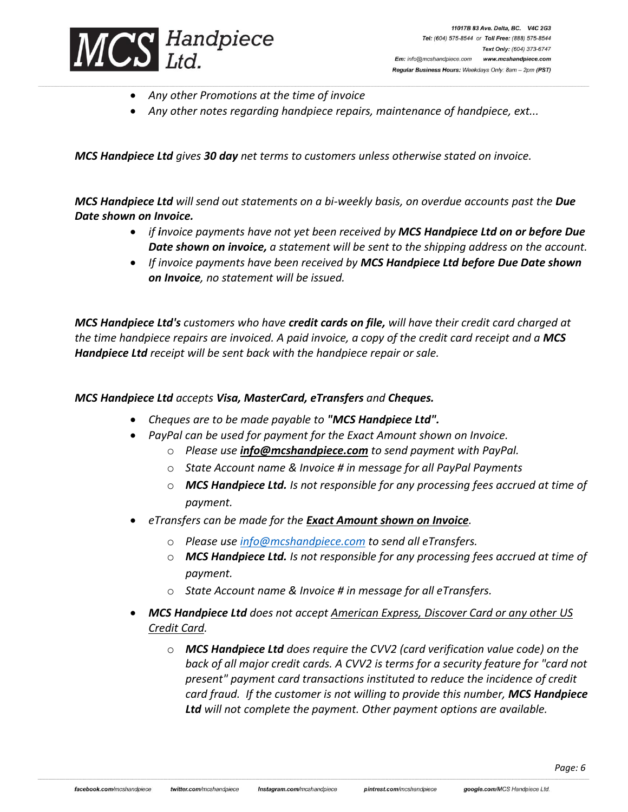

- *Any other Promotions at the time of invoice*
- *Any other notes regarding handpiece repairs, maintenance of handpiece, ext...*

**\_\_\_\_\_\_\_\_\_\_\_\_\_\_\_\_\_\_\_\_\_\_\_\_\_\_\_\_\_\_\_\_\_\_\_\_\_\_\_\_\_\_\_\_\_\_\_\_\_\_\_\_\_\_\_\_\_\_\_\_\_\_\_\_\_\_\_\_\_\_\_\_\_\_\_\_\_\_\_\_\_\_\_\_\_\_\_\_\_\_\_\_\_\_\_\_\_\_\_\_\_\_\_\_\_\_\_\_\_\_\_\_\_\_\_\_\_\_\_\_\_\_\_\_\_\_\_\_\_\_\_\_\_\_\_\_\_\_\_\_\_\_\_\_\_\_\_\_\_\_\_\_\_\_\_\_\_\_\_\_\_\_\_\_\_\_\_\_\_\_\_\_\_\_\_\_\_\_\_\_\_\_\_\_\_\_\_\_\_\_\_\_\_\_\_\_\_\_\_\_\_\_\_\_\_\_\_\_\_\_\_\_\_\_\_\_\_\_\_\_\_\_\_\_\_\_\_\_\_\_\_\_\_\_\_\_\_\_\_\_\_\_\_\_\_\_\_\_\_\_\_\_\_\_\_\_\_\_\_\_\_\_\_\_\_\_\_\_\_\_\_\_\_\_\_\_\_\_\_\_\_\_\_\_\_\_\_\_\_\_\_\_\_\_\_\_\_\_\_\_\_\_\_\_\_\_\_\_\_\_\_\_\_\_\_\_\_\_\_\_\_\_\_\_\_\_\_\_\_\_\_\_\_\_\_\_\_\_\_\_\_\_\_\_\_\_\_\_\_\_\_\_\_\_\_\_\_\_**

*MCS Handpiece Ltd gives 30 day net terms to customers unless otherwise stated on invoice.*

*MCS Handpiece Ltd will send out statements on a bi-weekly basis, on overdue accounts past the Due Date shown on Invoice.*

- *if invoice payments have not yet been received by MCS Handpiece Ltd on or before Due Date shown on invoice, a statement will be sent to the shipping address on the account.*
- *If invoice payments have been received by MCS Handpiece Ltd before Due Date shown on Invoice, no statement will be issued.*

*MCS Handpiece Ltd's customers who have credit cards on file, will have their credit card charged at the time handpiece repairs are invoiced. A paid invoice, a copy of the credit card receipt and a MCS Handpiece Ltd receipt will be sent back with the handpiece repair or sale.*

#### *MCS Handpiece Ltd accepts Visa, MasterCard, eTransfers and Cheques.*

- *Cheques are to be made payable to "MCS Handpiece Ltd".* 
	- *PayPal can be used for payment for the Exact Amount shown on Invoice.*
		- o *Please use info@mcshandpiece.com to send payment with PayPal.*
		- o *State Account name & Invoice # in message for all PayPal Payments*
		- o *MCS Handpiece Ltd. Is not responsible for any processing fees accrued at time of payment.*
- *eTransfers can be made for the Exact Amount shown on Invoice.* 
	- o *Please use [info@mcshandpiece.com](mailto:info@mcshandpiece.com) to send all eTransfers.*
	- o *MCS Handpiece Ltd. Is not responsible for any processing fees accrued at time of payment.*
	- o *State Account name & Invoice # in message for all eTransfers.*
- *MCS Handpiece Ltd does not accept American Express, Discover Card or any other US Credit Card.*
	- o *MCS Handpiece Ltd does require the CVV2 (card verification value code) on the back of all major credit cards. A CVV2 is terms for a security feature for "card not present" payment card transactions instituted to reduce the incidence of credit card fraud. If the customer is not willing to provide this number, MCS Handpiece Ltd will not complete the payment. Other payment options are available.*